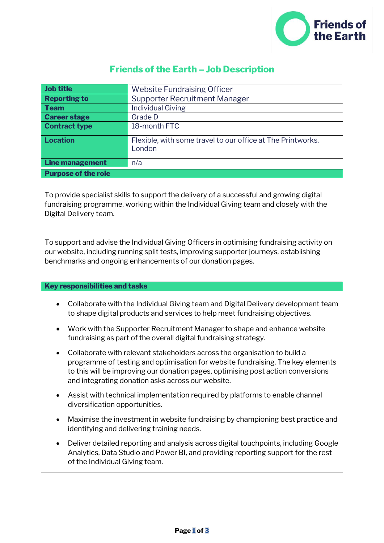

# **Friends of the Earth – Job Description**

| Job title                  | <b>Website Fundraising Officer</b>                                    |
|----------------------------|-----------------------------------------------------------------------|
| <b>Reporting to</b>        | <b>Supporter Recruitment Manager</b>                                  |
| Team                       | <b>Individual Giving</b>                                              |
| <b>Career stage</b>        | Grade D                                                               |
| <b>Contract type</b>       | 18-month FTC                                                          |
| Location                   | Flexible, with some travel to our office at The Printworks,<br>London |
| <b>Line management</b>     | n/a                                                                   |
| <b>Purpose of the role</b> |                                                                       |

To provide specialist skills to support the delivery of a successful and growing digital fundraising programme, working within the Individual Giving team and closely with the Digital Delivery team.

To support and advise the Individual Giving Officers in optimising fundraising activity on our website, including running split tests, improving supporter journeys, establishing benchmarks and ongoing enhancements of our donation pages.

### **Key responsibilities and tasks**

- Collaborate with the Individual Giving team and Digital Delivery development team to shape digital products and services to help meet fundraising objectives.
- Work with the Supporter Recruitment Manager to shape and enhance website fundraising as part of the overall digital fundraising strategy.
- Collaborate with relevant stakeholders across the organisation to build a programme of testing and optimisation for website fundraising. The key elements to this will be improving our donation pages, optimising post action conversions and integrating donation asks across our website.
- Assist with technical implementation required by platforms to enable channel diversification opportunities.
- Maximise the investment in website fundraising by championing best practice and identifying and delivering training needs.
- Deliver detailed reporting and analysis across digital touchpoints, including Google Analytics, Data Studio and Power BI, and providing reporting support for the rest of the Individual Giving team.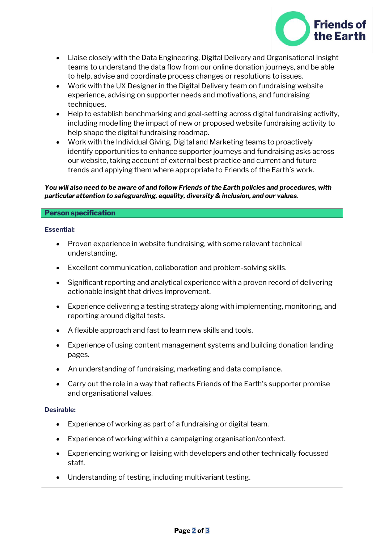

- Liaise closely with the Data Engineering, Digital Delivery and Organisational Insight teams to understand the data flow from our online donation journeys, and be able to help, advise and coordinate process changes or resolutions to issues.
- Work with the UX Designer in the Digital Delivery team on fundraising website experience, advising on supporter needs and motivations, and fundraising techniques.
- Help to establish benchmarking and goal-setting across digital fundraising activity, including modelling the impact of new or proposed website fundraising activity to help shape the digital fundraising roadmap.
- Work with the Individual Giving, Digital and Marketing teams to proactively identify opportunities to enhance supporter journeys and fundraising asks across our website, taking account of external best practice and current and future trends and applying them where appropriate to Friends of the Earth's work.

### *You will also need to be aware of and follow Friends of the Earth policies and procedures, with particular attention to safeguarding, equality, diversity & inclusion, and our values.*

### **Person specification**

### **Essential:**

- Proven experience in website fundraising, with some relevant technical understanding.
- Excellent communication, collaboration and problem-solving skills.
- Significant reporting and analytical experience with a proven record of delivering actionable insight that drives improvement.
- Experience delivering a testing strategy along with implementing, monitoring, and reporting around digital tests.
- A flexible approach and fast to learn new skills and tools.
- Experience of using content management systems and building donation landing pages.
- An understanding of fundraising, marketing and data compliance.
- Carry out the role in a way that reflects Friends of the Earth's supporter promise and organisational values.

## **Desirable:**

- Experience of working as part of a fundraising or digital team.
- Experience of working within a campaigning organisation/context.
- Experiencing working or liaising with developers and other technically focussed staff.
- Understanding of testing, including multivariant testing.